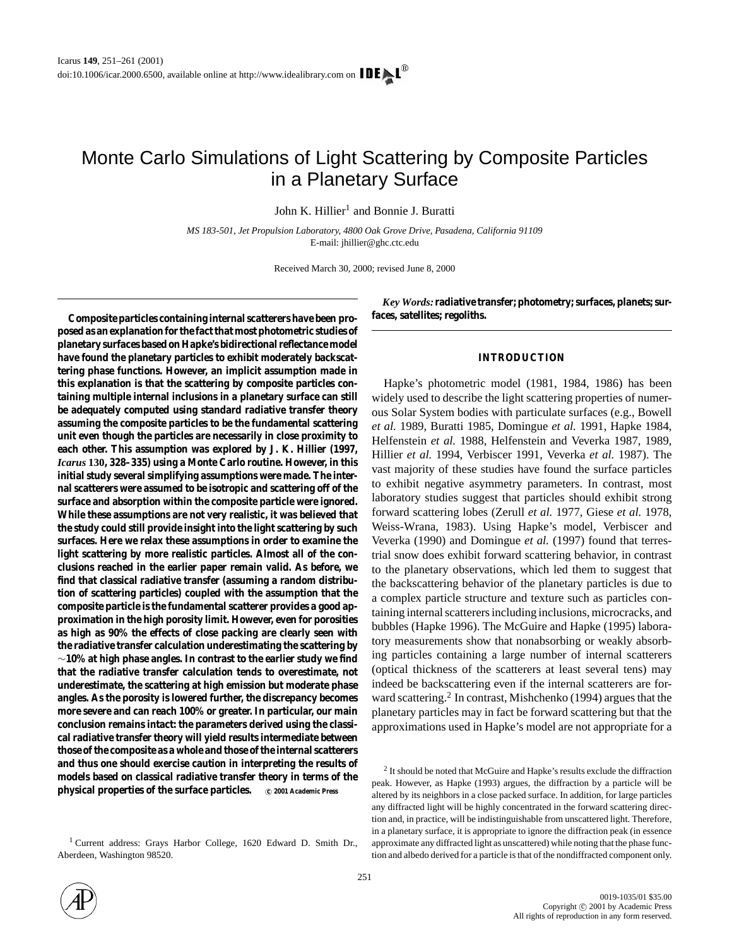# Monte Carlo Simulations of Light Scattering by Composite Particles in a Planetary Surface

John K. Hillier<sup>1</sup> and Bonnie J. Buratti

*MS 183-501, Jet Propulsion Laboratory, 4800 Oak Grove Drive, Pasadena, California 91109* E-mail: jhillier@ghc.ctc.edu

Received March 30, 2000; revised June 8, 2000

**Composite particles containing internal scatterers have been proposed as an explanation for the fact that most photometric studies of planetary surfaces based on Hapke's bidirectional reflectance model have found the planetary particles to exhibit moderately backscattering phase functions. However, an implicit assumption made in this explanation is that the scattering by composite particles containing multiple internal inclusions in a planetary surface can still be adequately computed using standard radiative transfer theory assuming the composite particles to be the fundamental scattering unit even though the particles are necessarily in close proximity to each other. This assumption was explored by J. K. Hillier (1997,** *Icarus* **130, 328–335) using a Monte Carlo routine. However, in this initial study several simplifying assumptions were made. The internal scatterers were assumed to be isotropic and scattering off of the surface and absorption within the composite particle were ignored. While these assumptions are not very realistic, it was believed that the study could still provide insight into the light scattering by such surfaces. Here we relax these assumptions in order to examine the light scattering by more realistic particles. Almost all of the conclusions reached in the earlier paper remain valid. As before, we find that classical radiative transfer (assuming a random distribution of scattering particles) coupled with the assumption that the composite particle is the fundamental scatterer provides a good approximation in the high porosity limit. However, even for porosities as high as 90% the effects of close packing are clearly seen with the radiative transfer calculation underestimating the scattering by** ∼**10% at high phase angles. In contrast to the earlier study we find that the radiative transfer calculation tends to overestimate, not underestimate, the scattering at high emission but moderate phase angles. As the porosity is lowered further, the discrepancy becomes more severe and can reach 100% or greater. In particular, our main conclusion remains intact: the parameters derived using the classical radiative transfer theory will yield results intermediate between those of the composite as a whole and those of the internal scatterers and thus one should exercise caution in interpreting the results of models based on classical radiative transfer theory in terms of the physical properties of the surface particles.** °**<sup>c</sup> 2001 Academic Press**

<sup>1</sup> Current address: Grays Harbor College, 1620 Edward D. Smith Dr., Aberdeen, Washington 98520.

*Key Words:***radiative transfer; photometry; surfaces, planets; surfaces, satellites; regoliths.**

# **INTRODUCTION**

Hapke's photometric model (1981, 1984, 1986) has been widely used to describe the light scattering properties of numerous Solar System bodies with particulate surfaces (e.g., Bowell *et al.* 1989, Buratti 1985, Domingue *et al.* 1991, Hapke 1984, Helfenstein *et al.* 1988, Helfenstein and Veverka 1987, 1989, Hillier *et al.* 1994, Verbiscer 1991, Veverka *et al.* 1987). The vast majority of these studies have found the surface particles to exhibit negative asymmetry parameters. In contrast, most laboratory studies suggest that particles should exhibit strong forward scattering lobes (Zerull *et al.* 1977, Giese *et al.* 1978, Weiss-Wrana, 1983). Using Hapke's model, Verbiscer and Veverka (1990) and Domingue *et al.* (1997) found that terrestrial snow does exhibit forward scattering behavior, in contrast to the planetary observations, which led them to suggest that the backscattering behavior of the planetary particles is due to a complex particle structure and texture such as particles containing internal scatterers including inclusions, microcracks, and bubbles (Hapke 1996). The McGuire and Hapke (1995) laboratory measurements show that nonabsorbing or weakly absorbing particles containing a large number of internal scatterers (optical thickness of the scatterers at least several tens) may indeed be backscattering even if the internal scatterers are forward scattering.<sup>2</sup> In contrast, Mishchenko (1994) argues that the planetary particles may in fact be forward scattering but that the approximations used in Hapke's model are not appropriate for a

<sup>2</sup> It should be noted that McGuire and Hapke's results exclude the diffraction peak. However, as Hapke (1993) argues, the diffraction by a particle will be altered by its neighbors in a close packed surface. In addition, for large particles any diffracted light will be highly concentrated in the forward scattering direction and, in practice, will be indistinguishable from unscattered light. Therefore, in a planetary surface, it is appropriate to ignore the diffraction peak (in essence approximate any diffracted light as unscattered) while noting that the phase function and albedo derived for a particle is that of the nondiffracted component only.

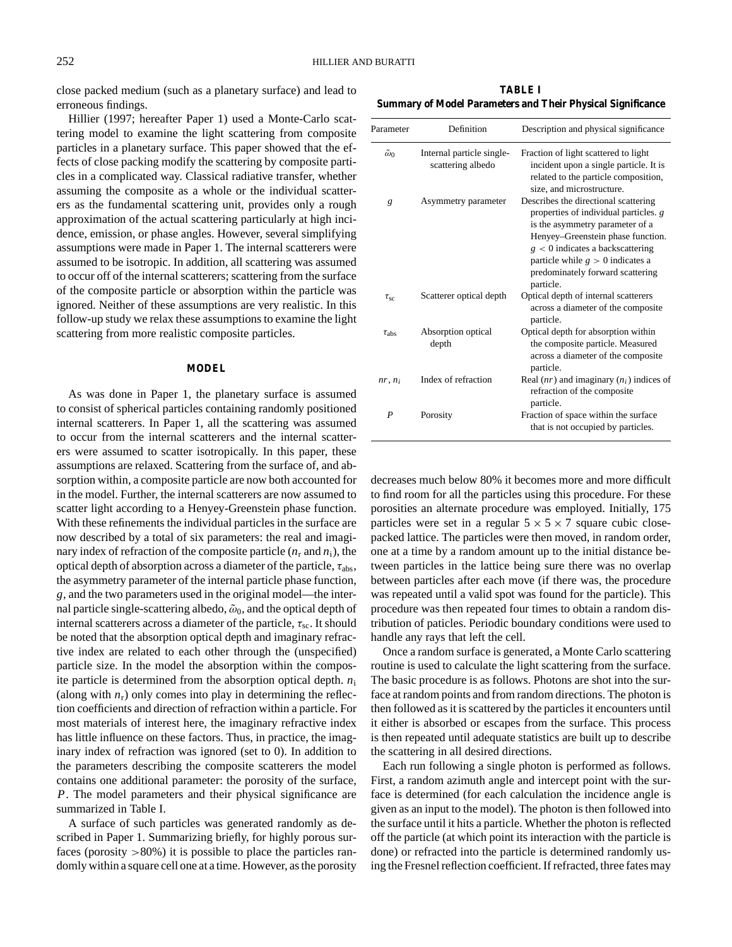close packed medium (such as a planetary surface) and lead to erroneous findings.

Hillier (1997; hereafter Paper 1) used a Monte-Carlo scattering model to examine the light scattering from composite particles in a planetary surface. This paper showed that the effects of close packing modify the scattering by composite particles in a complicated way. Classical radiative transfer, whether assuming the composite as a whole or the individual scatterers as the fundamental scattering unit, provides only a rough approximation of the actual scattering particularly at high incidence, emission, or phase angles. However, several simplifying assumptions were made in Paper 1. The internal scatterers were assumed to be isotropic. In addition, all scattering was assumed to occur off of the internal scatterers; scattering from the surface of the composite particle or absorption within the particle was ignored. Neither of these assumptions are very realistic. In this follow-up study we relax these assumptions to examine the light scattering from more realistic composite particles.

# **MODEL**

As was done in Paper 1, the planetary surface is assumed to consist of spherical particles containing randomly positioned internal scatterers. In Paper 1, all the scattering was assumed to occur from the internal scatterers and the internal scatterers were assumed to scatter isotropically. In this paper, these assumptions are relaxed. Scattering from the surface of, and absorption within, a composite particle are now both accounted for in the model. Further, the internal scatterers are now assumed to scatter light according to a Henyey-Greenstein phase function. With these refinements the individual particles in the surface are now described by a total of six parameters: the real and imaginary index of refraction of the composite particle  $(n_r$  and  $n_i)$ , the optical depth of absorption across a diameter of the particle,  $\tau_{\text{abs}}$ , the asymmetry parameter of the internal particle phase function, *g*, and the two parameters used in the original model—the internal particle single-scattering albedo,  $\tilde{\omega}_0$ , and the optical depth of internal scatterers across a diameter of the particle,  $\tau_{sc}$ . It should be noted that the absorption optical depth and imaginary refractive index are related to each other through the (unspecified) particle size. In the model the absorption within the composite particle is determined from the absorption optical depth. *n*<sup>i</sup> (along with  $n_r$ ) only comes into play in determining the reflection coefficients and direction of refraction within a particle. For most materials of interest here, the imaginary refractive index has little influence on these factors. Thus, in practice, the imaginary index of refraction was ignored (set to 0). In addition to the parameters describing the composite scatterers the model contains one additional parameter: the porosity of the surface, *P*. The model parameters and their physical significance are summarized in Table I.

A surface of such particles was generated randomly as described in Paper 1. Summarizing briefly, for highly porous surfaces (porosity >80%) it is possible to place the particles randomly within a square cell one at a time. However, as the porosity

**TABLE I Summary of Model Parameters and Their Physical Significance**

| Parameter          | Definition                                     | Description and physical significance                                                                                                                                                                                                                                              |  |
|--------------------|------------------------------------------------|------------------------------------------------------------------------------------------------------------------------------------------------------------------------------------------------------------------------------------------------------------------------------------|--|
| $\tilde{\omega}_0$ | Internal particle single-<br>scattering albedo | Fraction of light scattered to light<br>incident upon a single particle. It is<br>related to the particle composition,<br>size, and microstructure.                                                                                                                                |  |
| g                  | Asymmetry parameter                            | Describes the directional scattering<br>properties of individual particles. g<br>is the asymmetry parameter of a<br>Henyey-Greenstein phase function.<br>$g < 0$ indicates a backscattering<br>particle while $g > 0$ indicates a<br>predominately forward scattering<br>particle. |  |
| $\tau_{sc}$        | Scatterer optical depth                        | Optical depth of internal scatterers<br>across a diameter of the composite<br>particle.                                                                                                                                                                                            |  |
| $\tau_{\rm abs}$   | Absorption optical<br>depth                    | Optical depth for absorption within<br>the composite particle. Measured<br>across a diameter of the composite<br>particle.                                                                                                                                                         |  |
| $nr, n_i$          | Index of refraction                            | Real $(nr)$ and imaginary $(ni)$ indices of<br>refraction of the composite<br>particle.                                                                                                                                                                                            |  |
| P                  | Porosity                                       | Fraction of space within the surface<br>that is not occupied by particles.                                                                                                                                                                                                         |  |

decreases much below 80% it becomes more and more difficult to find room for all the particles using this procedure. For these porosities an alternate procedure was employed. Initially, 175 particles were set in a regular  $5 \times 5 \times 7$  square cubic closepacked lattice. The particles were then moved, in random order, one at a time by a random amount up to the initial distance between particles in the lattice being sure there was no overlap between particles after each move (if there was, the procedure was repeated until a valid spot was found for the particle). This procedure was then repeated four times to obtain a random distribution of paticles. Periodic boundary conditions were used to handle any rays that left the cell.

Once a random surface is generated, a Monte Carlo scattering routine is used to calculate the light scattering from the surface. The basic procedure is as follows. Photons are shot into the surface at random points and from random directions. The photon is then followed as it is scattered by the particles it encounters until it either is absorbed or escapes from the surface. This process is then repeated until adequate statistics are built up to describe the scattering in all desired directions.

Each run following a single photon is performed as follows. First, a random azimuth angle and intercept point with the surface is determined (for each calculation the incidence angle is given as an input to the model). The photon is then followed into the surface until it hits a particle. Whether the photon is reflected off the particle (at which point its interaction with the particle is done) or refracted into the particle is determined randomly using the Fresnel reflection coefficient. If refracted, three fates may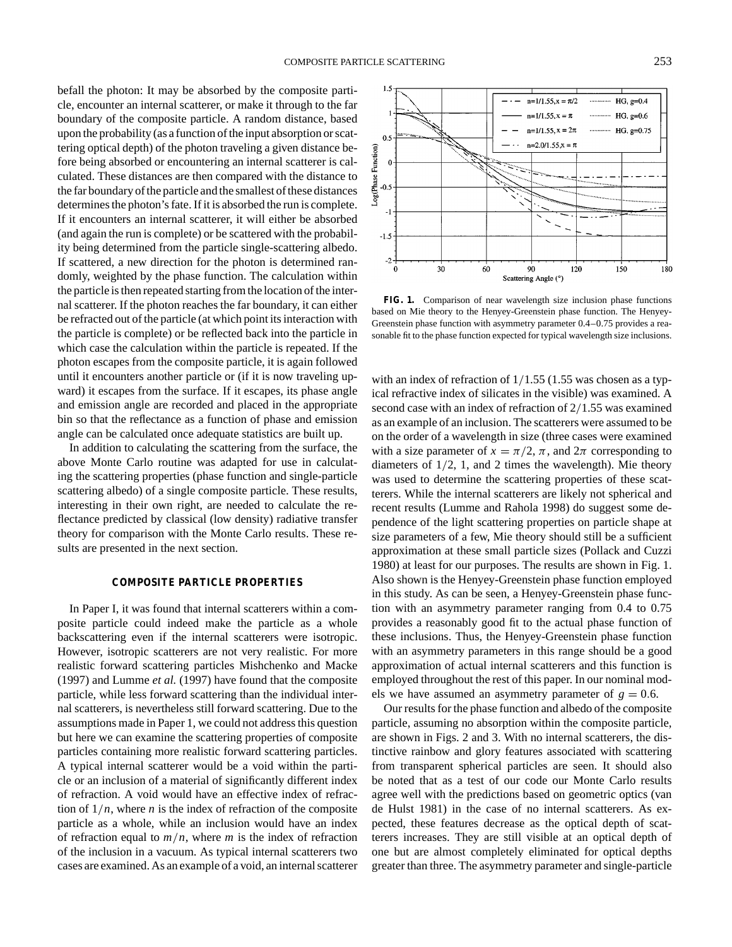befall the photon: It may be absorbed by the composite particle, encounter an internal scatterer, or make it through to the far boundary of the composite particle. A random distance, based upon the probability (as a function of the input absorption or scattering optical depth) of the photon traveling a given distance before being absorbed or encountering an internal scatterer is calculated. These distances are then compared with the distance to the far boundary of the particle and the smallest of these distances determines the photon's fate. If it is absorbed the run is complete. If it encounters an internal scatterer, it will either be absorbed (and again the run is complete) or be scattered with the probability being determined from the particle single-scattering albedo. If scattered, a new direction for the photon is determined randomly, weighted by the phase function. The calculation within the particle is then repeated starting from the location of the internal scatterer. If the photon reaches the far boundary, it can either be refracted out of the particle (at which point its interaction with the particle is complete) or be reflected back into the particle in which case the calculation within the particle is repeated. If the photon escapes from the composite particle, it is again followed until it encounters another particle or (if it is now traveling upward) it escapes from the surface. If it escapes, its phase angle and emission angle are recorded and placed in the appropriate bin so that the reflectance as a function of phase and emission angle can be calculated once adequate statistics are built up.

In addition to calculating the scattering from the surface, the above Monte Carlo routine was adapted for use in calculating the scattering properties (phase function and single-particle scattering albedo) of a single composite particle. These results, interesting in their own right, are needed to calculate the reflectance predicted by classical (low density) radiative transfer theory for comparison with the Monte Carlo results. These results are presented in the next section.

#### **COMPOSITE PARTICLE PROPERTIES**

In Paper I, it was found that internal scatterers within a composite particle could indeed make the particle as a whole backscattering even if the internal scatterers were isotropic. However, isotropic scatterers are not very realistic. For more realistic forward scattering particles Mishchenko and Macke (1997) and Lumme *et al.* (1997) have found that the composite particle, while less forward scattering than the individual internal scatterers, is nevertheless still forward scattering. Due to the assumptions made in Paper 1, we could not address this question but here we can examine the scattering properties of composite particles containing more realistic forward scattering particles. A typical internal scatterer would be a void within the particle or an inclusion of a material of significantly different index of refraction. A void would have an effective index of refraction of 1/*n*, where *n* is the index of refraction of the composite particle as a whole, while an inclusion would have an index of refraction equal to *m*/*n*, where *m* is the index of refraction of the inclusion in a vacuum. As typical internal scatterers two cases are examined. As an example of a void, an internal scatterer



**FIG. 1.** Comparison of near wavelength size inclusion phase functions based on Mie theory to the Henyey-Greenstein phase function. The Henyey-Greenstein phase function with asymmetry parameter 0.4–0.75 provides a reasonable fit to the phase function expected for typical wavelength size inclusions.

with an index of refraction of  $1/1.55$  (1.55 was chosen as a typical refractive index of silicates in the visible) was examined. A second case with an index of refraction of 2/1.55 was examined as an example of an inclusion. The scatterers were assumed to be on the order of a wavelength in size (three cases were examined with a size parameter of  $x = \pi/2$ ,  $\pi$ , and  $2\pi$  corresponding to diameters of 1/2, 1, and 2 times the wavelength). Mie theory was used to determine the scattering properties of these scatterers. While the internal scatterers are likely not spherical and recent results (Lumme and Rahola 1998) do suggest some dependence of the light scattering properties on particle shape at size parameters of a few, Mie theory should still be a sufficient approximation at these small particle sizes (Pollack and Cuzzi 1980) at least for our purposes. The results are shown in Fig. 1. Also shown is the Henyey-Greenstein phase function employed in this study. As can be seen, a Henyey-Greenstein phase function with an asymmetry parameter ranging from 0.4 to 0.75 provides a reasonably good fit to the actual phase function of these inclusions. Thus, the Henyey-Greenstein phase function with an asymmetry parameters in this range should be a good approximation of actual internal scatterers and this function is employed throughout the rest of this paper. In our nominal models we have assumed an asymmetry parameter of  $g = 0.6$ .

Our results for the phase function and albedo of the composite particle, assuming no absorption within the composite particle, are shown in Figs. 2 and 3. With no internal scatterers, the distinctive rainbow and glory features associated with scattering from transparent spherical particles are seen. It should also be noted that as a test of our code our Monte Carlo results agree well with the predictions based on geometric optics (van de Hulst 1981) in the case of no internal scatterers. As expected, these features decrease as the optical depth of scatterers increases. They are still visible at an optical depth of one but are almost completely eliminated for optical depths greater than three. The asymmetry parameter and single-particle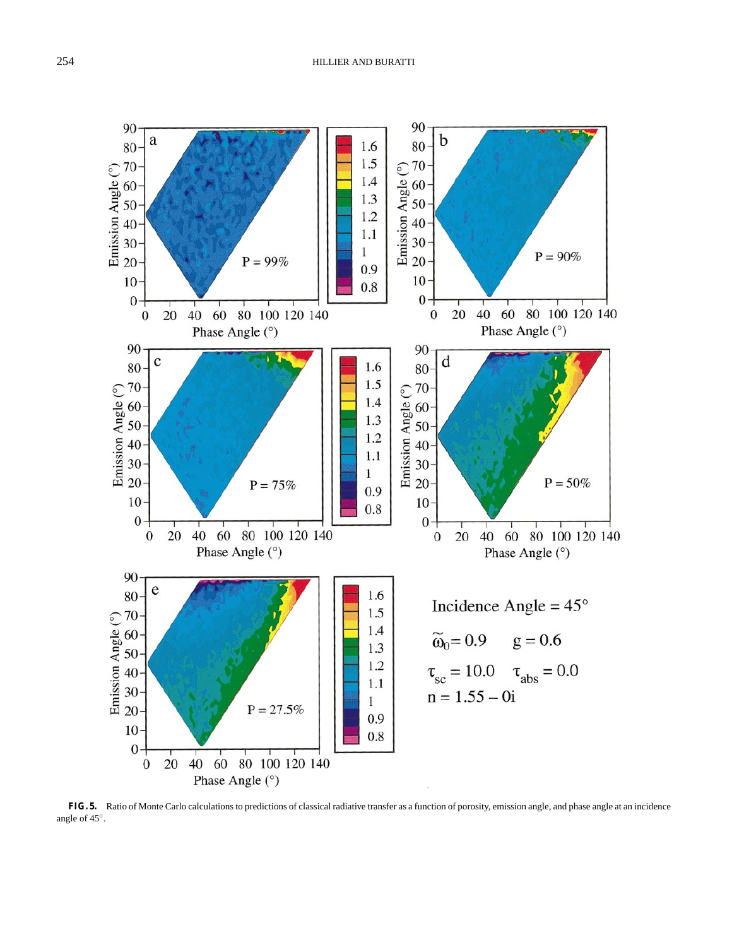

**FIG. 5.** Ratio of Monte Carlo calculations to predictions of classical radiative transfer as a function of porosity, emission angle, and phase angle at an incidence angle of 45◦.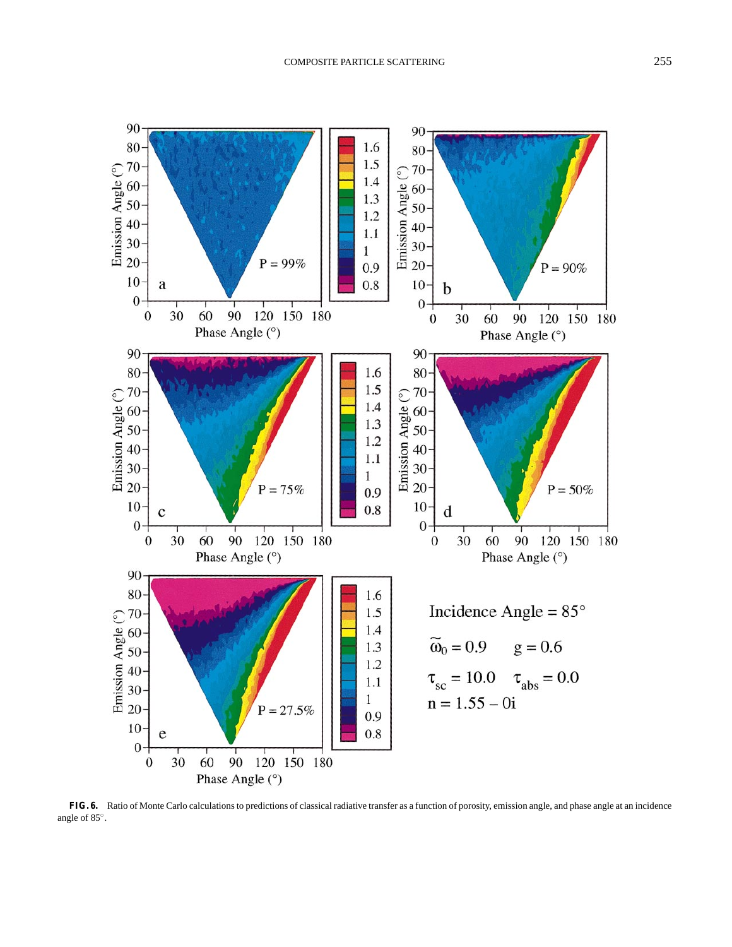

**FIG. 6.** Ratio of Monte Carlo calculations to predictions of classical radiative transfer as a function of porosity, emission angle, and phase angle at an incidence angle of 85◦.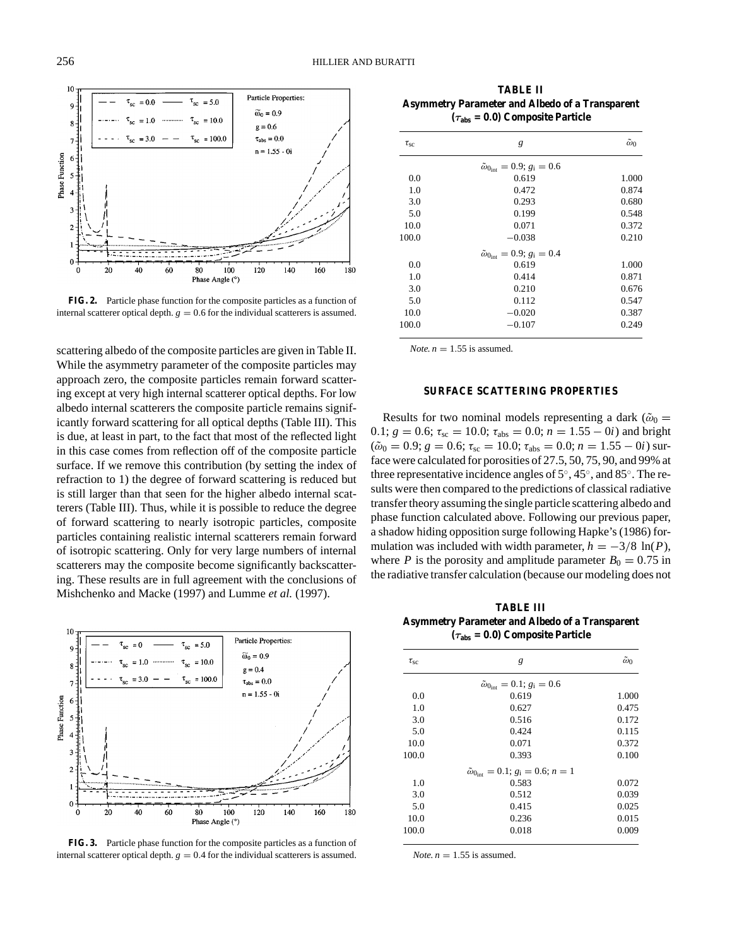

**FIG. 2.** Particle phase function for the composite particles as a function of internal scatterer optical depth.  $g = 0.6$  for the individual scatterers is assumed.

scattering albedo of the composite particles are given in Table II. While the asymmetry parameter of the composite particles may approach zero, the composite particles remain forward scattering except at very high internal scatterer optical depths. For low albedo internal scatterers the composite particle remains significantly forward scattering for all optical depths (Table III). This is due, at least in part, to the fact that most of the reflected light in this case comes from reflection off of the composite particle surface. If we remove this contribution (by setting the index of refraction to 1) the degree of forward scattering is reduced but is still larger than that seen for the higher albedo internal scatterers (Table III). Thus, while it is possible to reduce the degree of forward scattering to nearly isotropic particles, composite particles containing realistic internal scatterers remain forward of isotropic scattering. Only for very large numbers of internal scatterers may the composite become significantly backscattering. These results are in full agreement with the conclusions of Mishchenko and Macke (1997) and Lumme *et al.* (1997).



**FIG. 3.** Particle phase function for the composite particles as a function of internal scatterer optical depth.  $g = 0.4$  for the individual scatterers is assumed.

**TABLE II Asymmetry Parameter and Albedo of a Transparent (***τ***abs = 0***.***0) Composite Particle**

| $\tau_{sc}$ | g                                                  | $\tilde{\omega}_0$ |
|-------------|----------------------------------------------------|--------------------|
|             | $\tilde{\omega}_{0_{\rm int}} = 0.9$ ; $g_i = 0.6$ |                    |
| 0.0         | 0.619                                              | 1.000              |
| 1.0         | 0.472                                              | 0.874              |
| 3.0         | 0.293                                              | 0.680              |
| 5.0         | 0.199                                              | 0.548              |
| 10.0        | 0.071                                              | 0.372              |
| 100.0       | $-0.038$                                           | 0.210              |
|             | $\tilde{\omega}_{0_{\rm int}} = 0.9$ ; $g_i = 0.4$ |                    |
| 0.0         | 0.619                                              | 1.000              |
| 1.0         | 0.414                                              | 0.871              |
| 3.0         | 0.210                                              | 0.676              |
| 5.0         | 0.112                                              | 0.547              |
| 10.0        | $-0.020$                                           | 0.387              |
| 100.0       | $-0.107$                                           | 0.249              |

*Note.*  $n = 1.55$  is assumed.

#### **SURFACE SCATTERING PROPERTIES**

Results for two nominal models representing a dark ( $\tilde{\omega}_0$  = 0.1;  $g = 0.6$ ;  $\tau_{\text{sc}} = 10.0$ ;  $\tau_{\text{abs}} = 0.0$ ;  $n = 1.55 - 0i$ ) and bright  $(\tilde{\omega}_0 = 0.9; g = 0.6; \tau_{sc} = 10.0; \tau_{abs} = 0.0; n = 1.55 - 0i)$  surface were calculated for porosities of 27.5, 50, 75, 90, and 99% at three representative incidence angles of 5◦, 45◦, and 85◦. The results were then compared to the predictions of classical radiative transfer theory assuming the single particle scattering albedo and phase function calculated above. Following our previous paper, a shadow hiding opposition surge following Hapke's (1986) formulation was included with width parameter,  $h = -3/8 \ln(P)$ , where *P* is the porosity and amplitude parameter  $B_0 = 0.75$  in the radiative transfer calculation (because our modeling does not

**TABLE III Asymmetry Parameter and Albedo of a Transparent**  $(\tau_{\text{abs}} = 0.0)$  Composite Particle

| $\tau_{sc}$ | g                                                               | $\tilde{\omega}_0$ |
|-------------|-----------------------------------------------------------------|--------------------|
|             | $\tilde{\omega}_{0_{int}} = 0.1$ ; $g_i = 0.6$                  |                    |
| 0.0         | 0.619                                                           | 1.000              |
| 1.0         | 0.627                                                           | 0.475              |
| 3.0         | 0.516                                                           | 0.172              |
| 5.0         | 0.424                                                           | 0.115              |
| 10.0        | 0.071                                                           | 0.372              |
| 100.0       | 0.393                                                           | 0.100              |
|             | $\tilde{\omega}_{0_{\text{int}}} = 0.1$ ; $g_i = 0.6$ ; $n = 1$ |                    |
| 1.0         | 0.583                                                           | 0.072              |
| 3.0         | 0.512                                                           | 0.039              |
| 5.0         | 0.415                                                           | 0.025              |
| 10.0        | 0.236                                                           | 0.015              |
| 100.0       | 0.018                                                           | 0.009              |

*Note.*  $n = 1.55$  is assumed.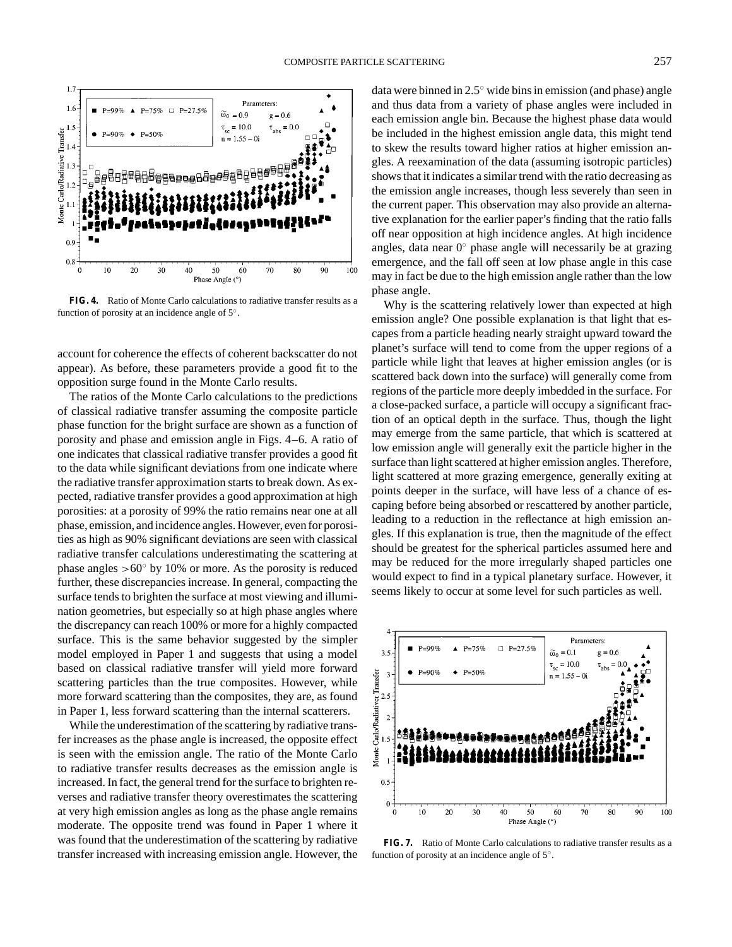

**FIG. 4.** Ratio of Monte Carlo calculations to radiative transfer results as a function of porosity at an incidence angle of 5◦.

account for coherence the effects of coherent backscatter do not appear). As before, these parameters provide a good fit to the opposition surge found in the Monte Carlo results.

The ratios of the Monte Carlo calculations to the predictions of classical radiative transfer assuming the composite particle phase function for the bright surface are shown as a function of porosity and phase and emission angle in Figs. 4–6. A ratio of one indicates that classical radiative transfer provides a good fit to the data while significant deviations from one indicate where the radiative transfer approximation starts to break down. As expected, radiative transfer provides a good approximation at high porosities: at a porosity of 99% the ratio remains near one at all phase, emission, and incidence angles. However, even for porosities as high as 90% significant deviations are seen with classical radiative transfer calculations underestimating the scattering at phase angles  $>60°$  by 10% or more. As the porosity is reduced further, these discrepancies increase. In general, compacting the surface tends to brighten the surface at most viewing and illumination geometries, but especially so at high phase angles where the discrepancy can reach 100% or more for a highly compacted surface. This is the same behavior suggested by the simpler model employed in Paper 1 and suggests that using a model based on classical radiative transfer will yield more forward scattering particles than the true composites. However, while more forward scattering than the composites, they are, as found in Paper 1, less forward scattering than the internal scatterers.

While the underestimation of the scattering by radiative transfer increases as the phase angle is increased, the opposite effect is seen with the emission angle. The ratio of the Monte Carlo to radiative transfer results decreases as the emission angle is increased. In fact, the general trend for the surface to brighten reverses and radiative transfer theory overestimates the scattering at very high emission angles as long as the phase angle remains moderate. The opposite trend was found in Paper 1 where it was found that the underestimation of the scattering by radiative transfer increased with increasing emission angle. However, the

data were binned in 2.5◦ wide bins in emission (and phase) angle and thus data from a variety of phase angles were included in each emission angle bin. Because the highest phase data would be included in the highest emission angle data, this might tend to skew the results toward higher ratios at higher emission angles. A reexamination of the data (assuming isotropic particles) shows that it indicates a similar trend with the ratio decreasing as the emission angle increases, though less severely than seen in the current paper. This observation may also provide an alternative explanation for the earlier paper's finding that the ratio falls off near opposition at high incidence angles. At high incidence angles, data near 0◦ phase angle will necessarily be at grazing emergence, and the fall off seen at low phase angle in this case may in fact be due to the high emission angle rather than the low phase angle.

Why is the scattering relatively lower than expected at high emission angle? One possible explanation is that light that escapes from a particle heading nearly straight upward toward the planet's surface will tend to come from the upper regions of a particle while light that leaves at higher emission angles (or is scattered back down into the surface) will generally come from regions of the particle more deeply imbedded in the surface. For a close-packed surface, a particle will occupy a significant fraction of an optical depth in the surface. Thus, though the light may emerge from the same particle, that which is scattered at low emission angle will generally exit the particle higher in the surface than light scattered at higher emission angles. Therefore, light scattered at more grazing emergence, generally exiting at points deeper in the surface, will have less of a chance of escaping before being absorbed or rescattered by another particle, leading to a reduction in the reflectance at high emission angles. If this explanation is true, then the magnitude of the effect should be greatest for the spherical particles assumed here and may be reduced for the more irregularly shaped particles one would expect to find in a typical planetary surface. However, it seems likely to occur at some level for such particles as well.



**FIG. 7.** Ratio of Monte Carlo calculations to radiative transfer results as a function of porosity at an incidence angle of 5◦.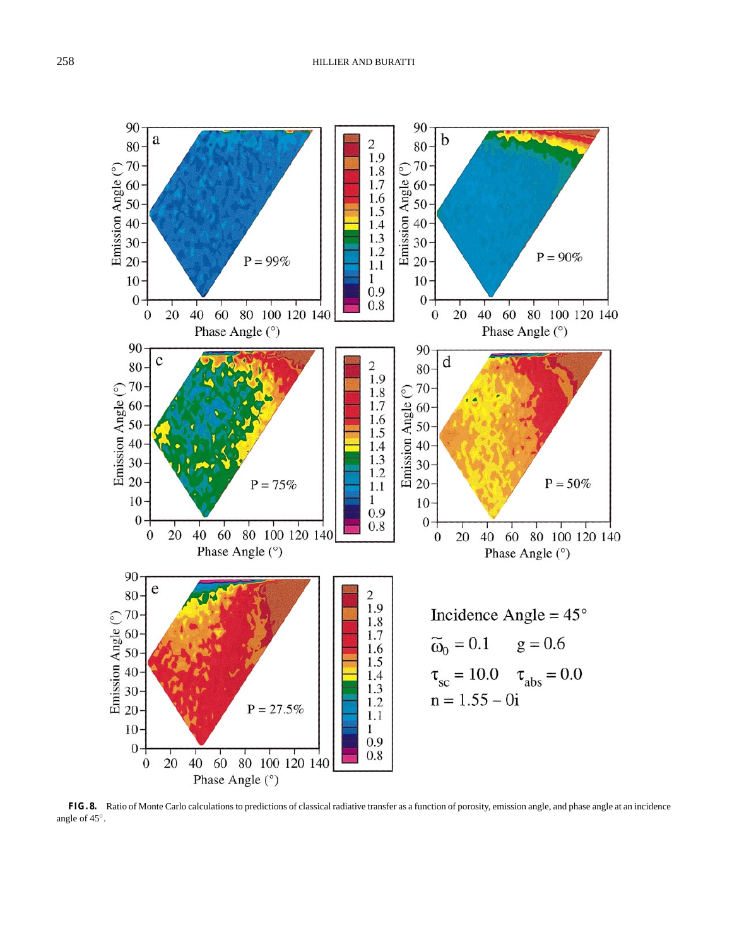

**FIG. 8.** Ratio of Monte Carlo calculations to predictions of classical radiative transfer as a function of porosity, emission angle, and phase angle at an incidence angle of 45◦.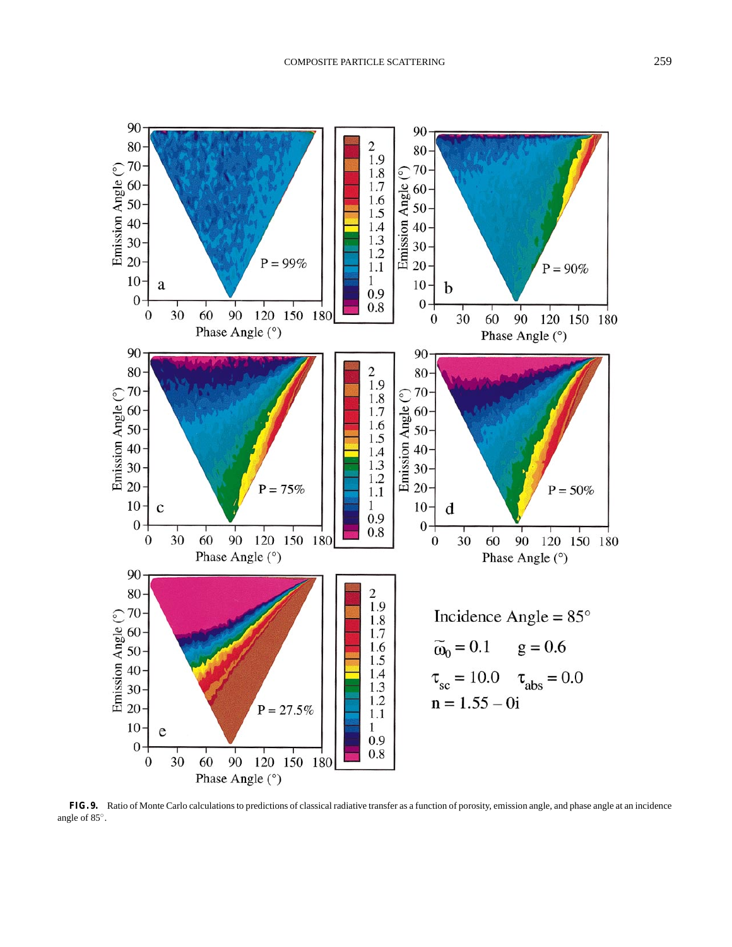

**FIG. 9.** Ratio of Monte Carlo calculations to predictions of classical radiative transfer as a function of porosity, emission angle, and phase angle at an incidence angle of 85◦.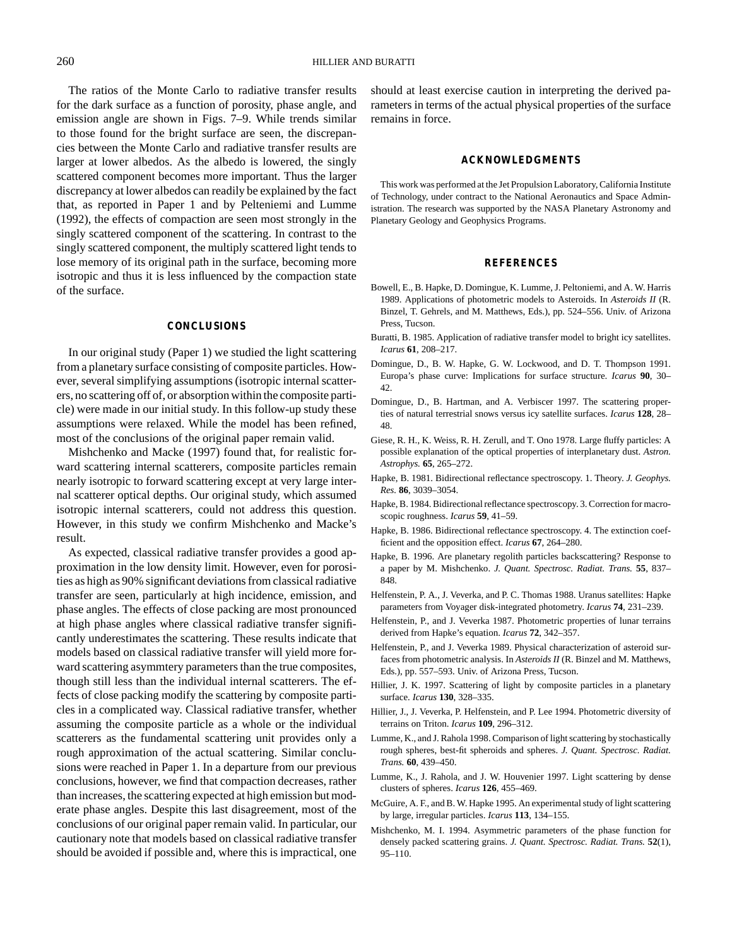The ratios of the Monte Carlo to radiative transfer results for the dark surface as a function of porosity, phase angle, and emission angle are shown in Figs. 7–9. While trends similar to those found for the bright surface are seen, the discrepancies between the Monte Carlo and radiative transfer results are larger at lower albedos. As the albedo is lowered, the singly scattered component becomes more important. Thus the larger discrepancy at lower albedos can readily be explained by the fact that, as reported in Paper 1 and by Pelteniemi and Lumme (1992), the effects of compaction are seen most strongly in the singly scattered component of the scattering. In contrast to the singly scattered component, the multiply scattered light tends to lose memory of its original path in the surface, becoming more isotropic and thus it is less influenced by the compaction state of the surface.

# **CONCLUSIONS**

In our original study (Paper 1) we studied the light scattering from a planetary surface consisting of composite particles. However, several simplifying assumptions (isotropic internal scatterers, no scattering off of, or absorption within the composite particle) were made in our initial study. In this follow-up study these assumptions were relaxed. While the model has been refined, most of the conclusions of the original paper remain valid.

Mishchenko and Macke (1997) found that, for realistic forward scattering internal scatterers, composite particles remain nearly isotropic to forward scattering except at very large internal scatterer optical depths. Our original study, which assumed isotropic internal scatterers, could not address this question. However, in this study we confirm Mishchenko and Macke's result.

As expected, classical radiative transfer provides a good approximation in the low density limit. However, even for porosities as high as 90% significant deviations from classical radiative transfer are seen, particularly at high incidence, emission, and phase angles. The effects of close packing are most pronounced at high phase angles where classical radiative transfer significantly underestimates the scattering. These results indicate that models based on classical radiative transfer will yield more forward scattering asymmtery parameters than the true composites, though still less than the individual internal scatterers. The effects of close packing modify the scattering by composite particles in a complicated way. Classical radiative transfer, whether assuming the composite particle as a whole or the individual scatterers as the fundamental scattering unit provides only a rough approximation of the actual scattering. Similar conclusions were reached in Paper 1. In a departure from our previous conclusions, however, we find that compaction decreases, rather than increases, the scattering expected at high emission but moderate phase angles. Despite this last disagreement, most of the conclusions of our original paper remain valid. In particular, our cautionary note that models based on classical radiative transfer should be avoided if possible and, where this is impractical, one

should at least exercise caution in interpreting the derived parameters in terms of the actual physical properties of the surface remains in force.

# **ACKNOWLEDGMENTS**

This work was performed at the Jet Propulsion Laboratory, California Institute of Technology, under contract to the National Aeronautics and Space Administration. The research was supported by the NASA Planetary Astronomy and Planetary Geology and Geophysics Programs.

# **REFERENCES**

- Bowell, E., B. Hapke, D. Domingue, K. Lumme, J. Peltoniemi, and A. W. Harris 1989. Applications of photometric models to Asteroids. In *Asteroids II* (R. Binzel, T. Gehrels, and M. Matthews, Eds.), pp. 524–556. Univ. of Arizona Press, Tucson.
- Buratti, B. 1985. Application of radiative transfer model to bright icy satellites. *Icarus* **61**, 208–217.
- Domingue, D., B. W. Hapke, G. W. Lockwood, and D. T. Thompson 1991. Europa's phase curve: Implications for surface structure. *Icarus* **90**, 30– 42.
- Domingue, D., B. Hartman, and A. Verbiscer 1997. The scattering properties of natural terrestrial snows versus icy satellite surfaces. *Icarus* **128**, 28– 48.
- Giese, R. H., K. Weiss, R. H. Zerull, and T. Ono 1978. Large fluffy particles: A possible explanation of the optical properties of interplanetary dust. *Astron. Astrophys.* **65**, 265–272.
- Hapke, B. 1981. Bidirectional reflectance spectroscopy. 1. Theory. *J. Geophys. Res.* **86**, 3039–3054.
- Hapke, B. 1984. Bidirectional reflectance spectroscopy. 3. Correction for macroscopic roughness. *Icarus* **59**, 41–59.
- Hapke, B. 1986. Bidirectional reflectance spectroscopy. 4. The extinction coefficient and the opposition effect. *Icarus* **67**, 264–280.
- Hapke, B. 1996. Are planetary regolith particles backscattering? Response to a paper by M. Mishchenko. *J. Quant. Spectrosc. Radiat. Trans.* **55**, 837– 848.
- Helfenstein, P. A., J. Veverka, and P. C. Thomas 1988. Uranus satellites: Hapke parameters from Voyager disk-integrated photometry. *Icarus* **74**, 231–239.
- Helfenstein, P., and J. Veverka 1987. Photometric properties of lunar terrains derived from Hapke's equation. *Icarus* **72**, 342–357.
- Helfenstein, P., and J. Veverka 1989. Physical characterization of asteroid surfaces from photometric analysis. In *Asteroids II* (R. Binzel and M. Matthews, Eds.), pp. 557–593. Univ. of Arizona Press, Tucson.
- Hillier, J. K. 1997. Scattering of light by composite particles in a planetary surface. *Icarus* **130**, 328–335.
- Hillier, J., J. Veverka, P. Helfenstein, and P. Lee 1994. Photometric diversity of terrains on Triton. *Icarus* **109**, 296–312.
- Lumme, K., and J. Rahola 1998. Comparison of light scattering by stochastically rough spheres, best-fit spheroids and spheres. *J. Quant. Spectrosc. Radiat. Trans.* **60**, 439–450.
- Lumme, K., J. Rahola, and J. W. Houvenier 1997. Light scattering by dense clusters of spheres. *Icarus* **126**, 455–469.
- McGuire, A. F., and B. W. Hapke 1995. An experimental study of light scattering by large, irregular particles. *Icarus* **113**, 134–155.
- Mishchenko, M. I. 1994. Asymmetric parameters of the phase function for densely packed scattering grains. *J. Quant. Spectrosc. Radiat. Trans.* **52**(1), 95–110.